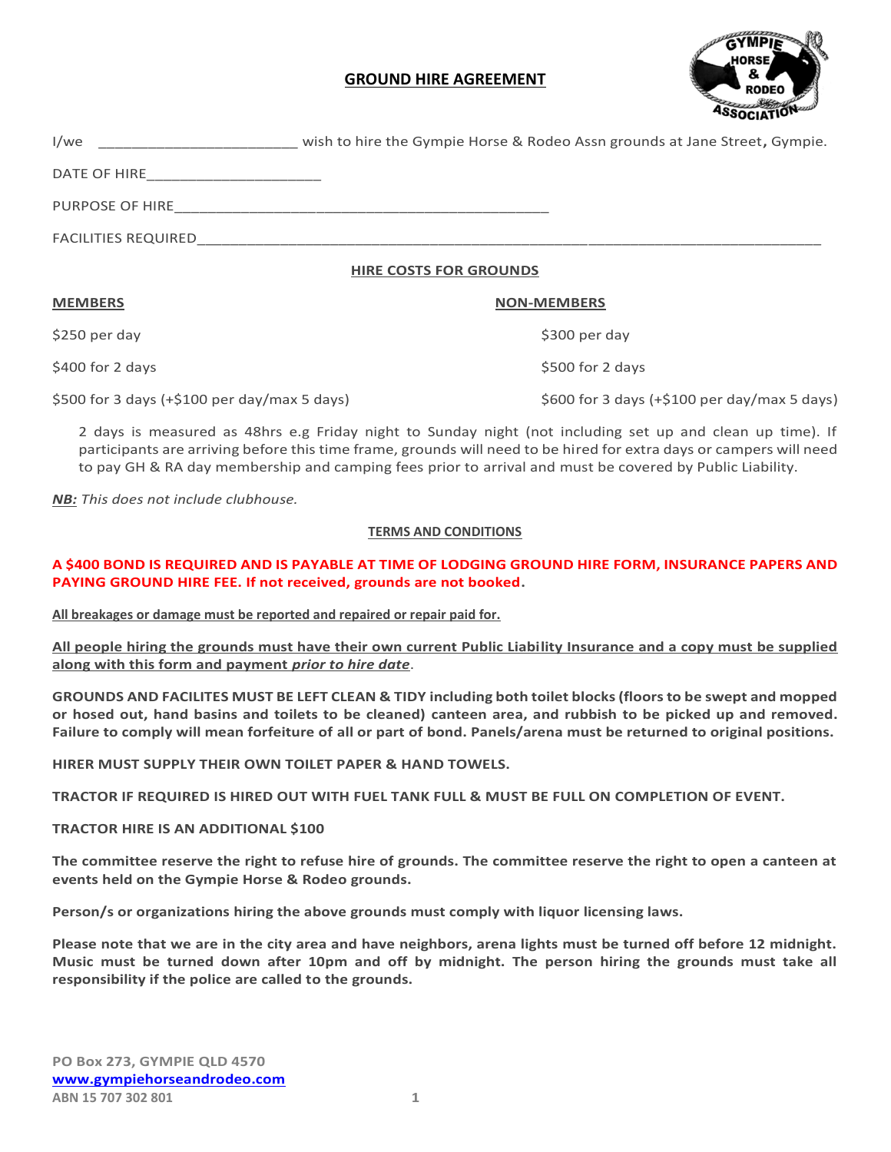# **GROUND HIRE AGREEMENT**



I/we \_\_\_\_\_\_\_\_\_\_\_\_\_\_\_\_\_\_\_\_\_\_\_\_ wish to hire the Gympie Horse & Rodeo Assn grounds at Jane Street**,** Gympie. DATE OF HIRE PURPOSE OF HIRE FACILITIES REQUIRED

### **HIRE COSTS FOR GROUNDS**

#### **MEMBERS NON-MEMBERS**

\$400 for 2 days \$500 for 2 days

\$500 for 3 days (+\$100 per day/max 5 days) \$600 for 3 days (+\$100 per day/max 5 days)

\$250 per day \$300 per day \$300 per day \$300 per day \$300 per day \$300 per day \$300 per day \$300 per day \$300 per day

2 days is measured as 48hrs e.g Friday night to Sunday night (not including set up and clean up time). If participants are arriving before this time frame, grounds will need to be hired for extra days or campers will need to pay GH & RA day membership and camping fees prior to arrival and must be covered by Public Liability.

*NB: This does not include clubhouse.*

### **TERMS AND CONDITIONS**

### **A \$400 BOND IS REQUIRED AND IS PAYABLE AT TIME OF LODGING GROUND HIRE FORM, INSURANCE PAPERS AND PAYING GROUND HIRE FEE. If not received, grounds are not booked.**

**All breakages or damage must be reported and repaired or repair paid for.**

**All people hiring the grounds must have their own current Public Liability Insurance and a copy must be supplied along with this form and payment** *prior to hire date*.

**GROUNDS AND FACILITES MUST BE LEFT CLEAN & TIDY including both toilet blocks (floors to be swept and mopped or hosed out, hand basins and toilets to be cleaned) canteen area, and rubbish to be picked up and removed. Failure to comply will mean forfeiture of all or part of bond. Panels/arena must be returned to original positions.**

**HIRER MUST SUPPLY THEIR OWN TOILET PAPER & HAND TOWELS.**

**TRACTOR IF REQUIRED IS HIRED OUT WITH FUEL TANK FULL & MUST BE FULL ON COMPLETION OF EVENT.**

### **TRACTOR HIRE IS AN ADDITIONAL \$100**

**The committee reserve the right to refuse hire of grounds. The committee reserve the right to open a canteen at events held on the Gympie Horse & Rodeo grounds.**

**Person/s or organizations hiring the above grounds must comply with liquor licensing laws.**

**Please note that we are in the city area and have neighbors, arena lights must be turned off before 12 midnight. Music must be turned down after 10pm and off by midnight. The person hiring the grounds must take all responsibility if the police are called to the grounds.**